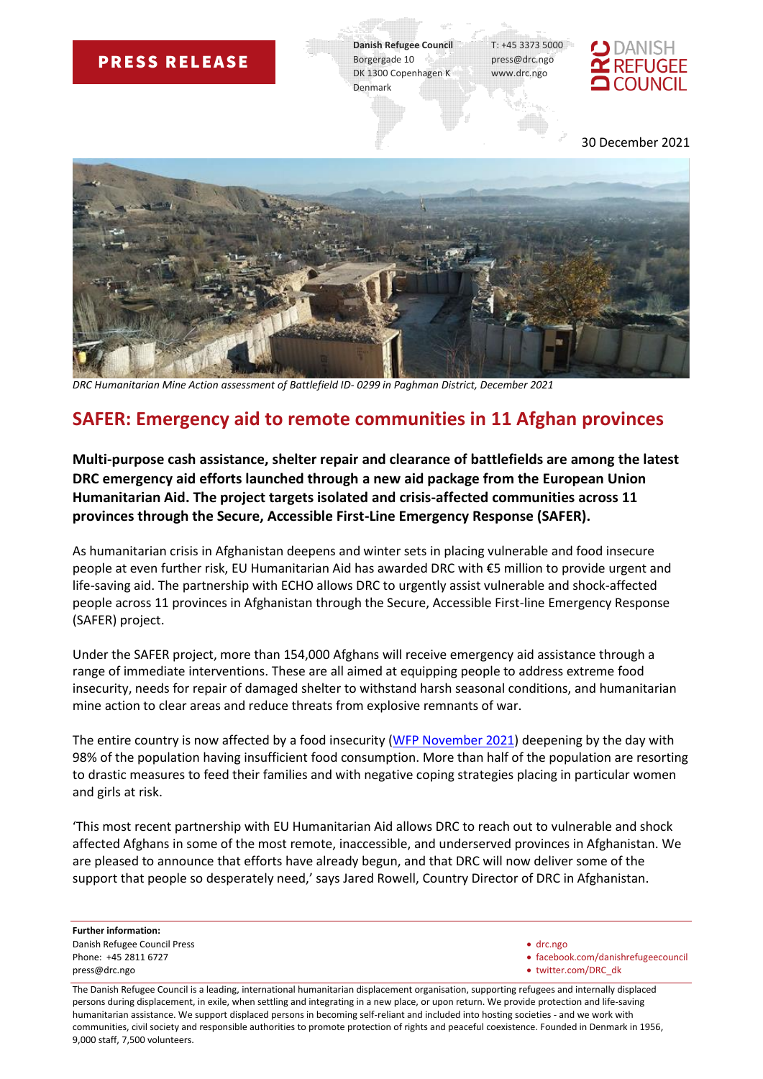## **PRESS RELEASE**

**Danish Refugee Council** T: +45 3373 5000 Borgergade 10 press@drc.ngo DK 1300 Copenhagen K www.drc.ngo Denmark



30 December 2021



*DRC Humanitarian Mine Action assessment of Battlefield ID- 0299 in Paghman District, December 2021*

## **SAFER: Emergency aid to remote communities in 11 Afghan provinces**

**Multi-purpose cash assistance, shelter repair and clearance of battlefields are among the latest DRC emergency aid efforts launched through a new aid package from the European Union Humanitarian Aid. The project targets isolated and crisis-affected communities across 11 provinces through the Secure, Accessible First-Line Emergency Response (SAFER).**

As humanitarian crisis in Afghanistan deepens and winter sets in placing vulnerable and food insecure people at even further risk, EU Humanitarian Aid has awarded DRC with €5 million to provide urgent and life-saving aid. The partnership with ECHO allows DRC to urgently assist vulnerable and shock-affected people across 11 provinces in Afghanistan through the Secure, Accessible First-line Emergency Response (SAFER) project.

Under the SAFER project, more than 154,000 Afghans will receive emergency aid assistance through a range of immediate interventions. These are all aimed at equipping people to address extreme food insecurity, needs for repair of damaged shelter to withstand harsh seasonal conditions, and humanitarian mine action to clear areas and reduce threats from explosive remnants of war.

The entire country is now affected by a food insecurity [\(WFP November 2021\)](https://reliefweb.int/sites/reliefweb.int/files/resources/WFP-0000134768.pdf) deepening by the day with 98% of the population having insufficient food consumption. More than half of the population are resorting to drastic measures to feed their families and with negative coping strategies placing in particular women and girls at risk.

'This most recent partnership with EU Humanitarian Aid allows DRC to reach out to vulnerable and shock affected Afghans in some of the most remote, inaccessible, and underserved provinces in Afghanistan. We are pleased to announce that efforts have already begun, and that DRC will now deliver some of the support that people so desperately need,' says Jared Rowell, Country Director of DRC in Afghanistan.

**Further information:**  Danish Refugee Council Press • drc.ngo press@drc.ngo • twitter.com/DRC\_dk

Phone: +45 2811 6727 **• facebook.com/danishrefugeecouncil** 

The Danish Refugee Council is a leading, international humanitarian displacement organisation, supporting refugees and internally displaced persons during displacement, in exile, when settling and integrating in a new place, or upon return. We provide protection and life-saving humanitarian assistance. We support displaced persons in becoming self-reliant and included into hosting societies - and we work with communities, civil society and responsible authorities to promote protection of rights and peaceful coexistence. Founded in Denmark in 1956, 9,000 staff, 7,500 volunteers.